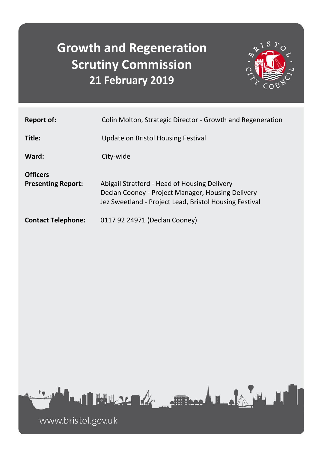# **Growth and Regeneration Scrutiny Commission 21 February 2019**



| <b>Report of:</b>                            | Colin Molton, Strategic Director - Growth and Regeneration                                                                                                  |
|----------------------------------------------|-------------------------------------------------------------------------------------------------------------------------------------------------------------|
| Title:                                       | Update on Bristol Housing Festival                                                                                                                          |
| Ward:                                        | City-wide                                                                                                                                                   |
| <b>Officers</b><br><b>Presenting Report:</b> | Abigail Stratford - Head of Housing Delivery<br>Declan Cooney - Project Manager, Housing Delivery<br>Jez Sweetland - Project Lead, Bristol Housing Festival |
| <b>Contact Telephone:</b>                    | 0117 92 24971 (Declan Cooney)                                                                                                                               |



www.bristol.gov.uk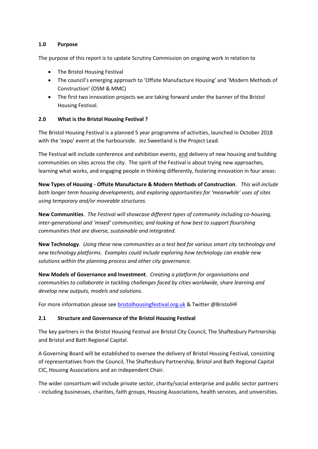#### **1.0 Purpose**

The purpose of this report is to update Scrutiny Commission on ongoing work in relation to

- The Bristol Housing Festival
- The council's emerging approach to 'Offsite Manufacture Housing' and 'Modern Methods of Construction' (OSM & MMC)
- The first two innovation projects we are taking forward under the banner of the Bristol Housing Festival.

#### **2.0 What is the Bristol Housing Festival ?**

The Bristol Housing Festival is a planned 5 year programme of activities, launched in October 2018 with the 'expo' event at the harbourside. Jez Sweetland is the Project Lead.

The Festival will include conference and exhibition events, and delivery of new housing and building communities on sites across the city. The spirit of the Festival is about trying new approaches, learning what works, and engaging people in thinking differently, fostering innovation in four areas:

**New Types of Housing - Offsite Manufacture & Modern Methods of Construction**. *This will include both longer term housing developments, and exploring opportunities for 'meanwhile' uses of sites using temporary and/or moveable structures.* 

**New Communities**. *The Festival will showcase different types of community including co-housing, inter-generational and 'mixed' communities; and looking at how best to support flourishing communities that are diverse, sustainable and integrated.* 

**New Technology**. *Using these new communities as a test bed for various smart city technology and new technology platforms. Examples could include exploring how technology can enable new solutions within the planning process and other city governance.* 

**New Models of Governance and Investment**. *Creating a platform for organisations and communities to collaborate in tackling challenges faced by cities worldwide, share learning and develop new outputs, models and solutions.*

For more information please see [bristolhousingfestival.org.uk](http://www.bristolhousingfestival.org.uk/) & Twitter @BristolHF

#### **2.1 Structure and Governance of the Bristol Housing Festival**

The key partners in the Bristol Housing Festival are Bristol City Council, The Shaftesbury Partnership and Bristol and Bath Regional Capital.

A Governing Board will be established to oversee the delivery of Bristol Housing Festival, consisting of representatives from the Council, The Shaftesbury Partnership, Bristol and Bath Regional Capital CIC, Housing Associations and an independent Chair.

The wider consortium will include private sector, charity/social enterprise and public sector partners - including businesses, charities, faith groups, Housing Associations, health services, and universities.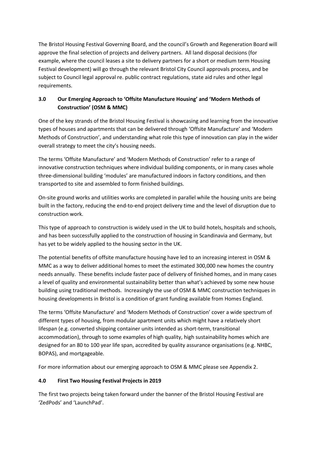The Bristol Housing Festival Governing Board, and the council's Growth and Regeneration Board will approve the final selection of projects and delivery partners. All land disposal decisions (for example, where the council leases a site to delivery partners for a short or medium term Housing Festival development) will go through the relevant Bristol City Council approvals process, and be subject to Council legal approval re. public contract regulations, state aid rules and other legal requirements.

# **3.0 Our Emerging Approach to 'Offsite Manufacture Housing' and 'Modern Methods of Construction' (OSM & MMC)**

One of the key strands of the Bristol Housing Festival is showcasing and learning from the innovative types of houses and apartments that can be delivered through 'Offsite Manufacture' and 'Modern Methods of Construction', and understanding what role this type of innovation can play in the wider overall strategy to meet the city's housing needs.

The terms 'Offsite Manufacture' and 'Modern Methods of Construction' refer to a range of innovative construction techniques where individual building components, or in many cases whole three-dimensional building 'modules' are manufactured indoors in factory conditions, and then transported to site and assembled to form finished buildings.

On-site ground works and utilities works are completed in parallel while the housing units are being built in the factory, reducing the end-to-end project delivery time and the level of disruption due to construction work.

This type of approach to construction is widely used in the UK to build hotels, hospitals and schools, and has been successfully applied to the construction of housing in Scandinavia and Germany, but has yet to be widely applied to the housing sector in the UK.

The potential benefits of offsite manufacture housing have led to an increasing interest in OSM & MMC as a way to deliver additional homes to meet the estimated 300,000 new homes the country needs annually. These benefits include faster pace of delivery of finished homes, and in many cases a level of quality and environmental sustainability better than what's achieved by some new house building using traditional methods. Increasingly the use of OSM & MMC construction techniques in housing developments in Bristol is a condition of grant funding available from Homes England.

The terms 'Offsite Manufacture' and 'Modern Methods of Construction' cover a wide spectrum of different types of housing, from modular apartment units which might have a relatively short lifespan (e.g. converted shipping container units intended as short-term, transitional accommodation), through to some examples of high quality, high sustainability homes which are designed for an 80 to 100 year life span, accredited by quality assurance organisations (e.g. NHBC, BOPAS), and mortgageable.

For more information about our emerging approach to OSM & MMC please see Appendix 2.

## **4.0 First Two Housing Festival Projects in 2019**

The first two projects being taken forward under the banner of the Bristol Housing Festival are 'ZedPods' and 'LaunchPad'.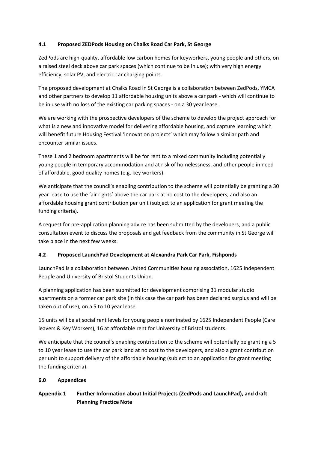#### **4.1 Proposed ZEDPods Housing on Chalks Road Car Park, St George**

ZedPods are high-quality, affordable low carbon homes for keyworkers, young people and others, on a raised steel deck above car park spaces (which continue to be in use); with very high energy efficiency, solar PV, and electric car charging points.

The proposed development at Chalks Road in St George is a collaboration between ZedPods, YMCA and other partners to develop 11 affordable housing units above a car park - which will continue to be in use with no loss of the existing car parking spaces - on a 30 year lease.

We are working with the prospective developers of the scheme to develop the project approach for what is a new and innovative model for delivering affordable housing, and capture learning which will benefit future Housing Festival 'innovation projects' which may follow a similar path and encounter similar issues.

These 1 and 2 bedroom apartments will be for rent to a mixed community including potentially young people in temporary accommodation and at risk of homelessness, and other people in need of affordable, good quality homes (e.g. key workers).

We anticipate that the council's enabling contribution to the scheme will potentially be granting a 30 year lease to use the 'air rights' above the car park at no cost to the developers, and also an affordable housing grant contribution per unit (subject to an application for grant meeting the funding criteria).

A request for pre-application planning advice has been submitted by the developers, and a public consultation event to discuss the proposals and get feedback from the community in St George will take place in the next few weeks.

## **4.2 Proposed LaunchPad Development at Alexandra Park Car Park, Fishponds**

LaunchPad is a collaboration between United Communities housing association, 1625 Independent People and University of Bristol Students Union.

A planning application has been submitted for development comprising 31 modular studio apartments on a former car park site (in this case the car park has been declared surplus and will be taken out of use), on a 5 to 10 year lease.

15 units will be at social rent levels for young people nominated by 1625 Independent People (Care leavers & Key Workers), 16 at affordable rent for University of Bristol students.

We anticipate that the council's enabling contribution to the scheme will potentially be granting a 5 to 10 year lease to use the car park land at no cost to the developers, and also a grant contribution per unit to support delivery of the affordable housing (subject to an application for grant meeting the funding criteria).

## **6.0 Appendices**

# **Appendix 1 Further Information about Initial Projects (ZedPods and LaunchPad), and draft Planning Practice Note**